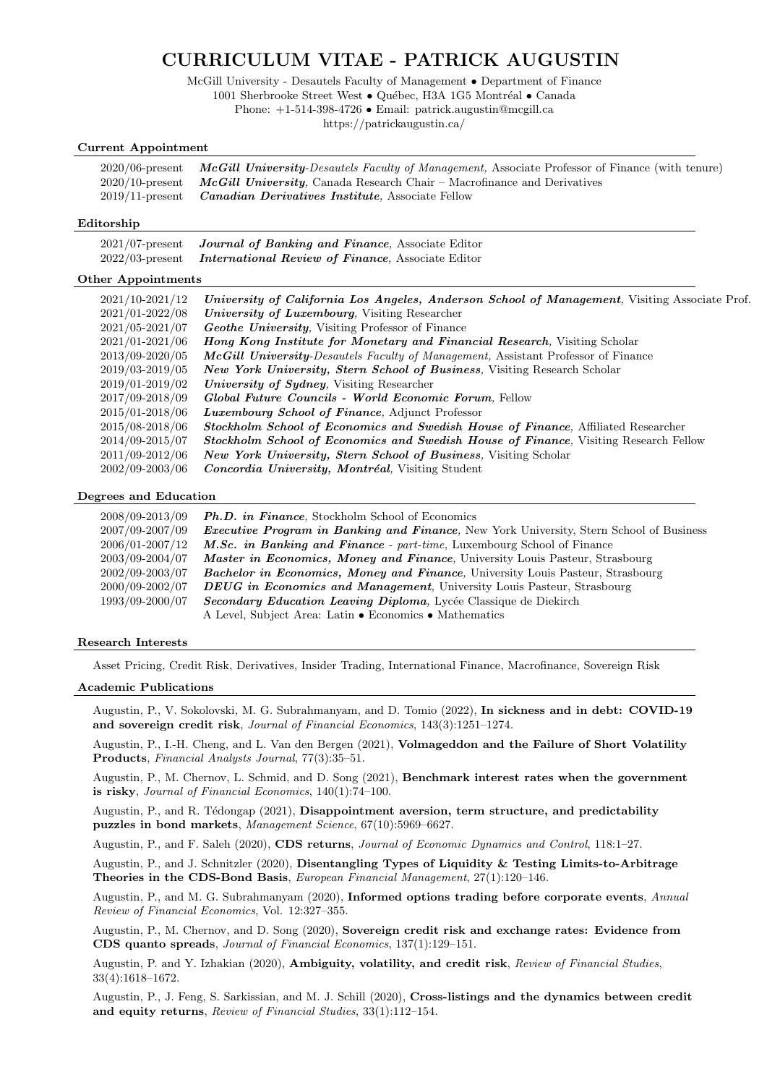# CURRICULUM VITAE - PATRICK AUGUSTIN

McGill University - Desautels Faculty of Management • Department of Finance 1001 Sherbrooke Street West • Québec, H3A 1G5 Montréal • Canada

Phone: +1-514-398-4726 • Email: patrick.augustin@mcgill.ca

https://patrickaugustin.ca/

# Current Appointment

| $2020/06$ -present McGill University-Desautels Faculty of Management, Associate Professor of Finance (with tenure) |
|--------------------------------------------------------------------------------------------------------------------|
| $2020/10$ -present McGill University, Canada Research Chair – Macrofinance and Derivatives                         |
| 2019/11-present <b>Canadian Derivatives Institute</b> , Associate Fellow                                           |

# Editorship

| $2021/07$ -present | <b>Journal of Banking and Finance, Associate Editor</b>  |
|--------------------|----------------------------------------------------------|
| $2022/03$ -present | <i>International Review of Finance, Associate Editor</i> |

# Other Appointments

| $2021/10 - 2021/12$ | University of California Los Angeles, Anderson School of Management, Visiting Associate Prof. |
|---------------------|-----------------------------------------------------------------------------------------------|
| $2021/01 - 2022/08$ | University of Luxembourg, Visiting Researcher                                                 |
| $2021/05 - 2021/07$ | <b>Geothe University, Visiting Professor of Finance</b>                                       |
| $2021/01 - 2021/06$ | <b>Hong Kong Institute for Monetary and Financial Research, Visiting Scholar</b>              |
| 2013/09-2020/05     | <i>McGill University-Desautels Faculty of Management, Assistant Professor of Finance</i>      |
| 2019/03-2019/05     | <b>New York University, Stern School of Business, Visiting Research Scholar</b>               |
| 2019/01-2019/02     | <i>University of Sydney</i> , Visiting Researcher                                             |
| 2017/09-2018/09     | Global Future Councils - World Economic Forum, Fellow                                         |
| $2015/01 - 2018/06$ | <i>Luxembourg School of Finance</i> , Adjunct Professor                                       |
| 2015/08-2018/06     | <b>Stockholm School of Economics and Swedish House of Finance, Affiliated Researcher</b>      |
| $2014/09 - 2015/07$ | Stockholm School of Economics and Swedish House of Finance, Visiting Research Fellow          |
| 2011/09-2012/06     | <b>New York University, Stern School of Business, Visiting Scholar</b>                        |
| 2002/09-2003/06     | <i>Concordia University, Montréal, Visiting Student</i>                                       |

### Degrees and Education

| 2008/09-2013/09     | <b>Ph.D.</b> in Finance, Stockholm School of Economics                                          |
|---------------------|-------------------------------------------------------------------------------------------------|
| 2007/09-2007/09     | <b>Executive Program in Banking and Finance</b> , New York University, Stern School of Business |
| 2006/01-2007/12     | <i>M.Sc. in Banking and Finance - part-time, Luxembourg School of Finance</i>                   |
| 2003/09-2004/07     | <i>Master in Economics, Money and Finance, University Louis Pasteur, Strasbourg</i>             |
| $2002/09 - 2003/07$ | <b>Bachelor in Economics, Money and Finance</b> , University Louis Pasteur, Strasbourg          |
| 2000/09-2002/07     | <b>DEUG</b> in Economics and Management, University Louis Pasteur, Strasbourg                   |
| 1993/09-2000/07     | Secondary Education Leaving Diploma, Lycée Classique de Diekirch                                |
|                     | A Level, Subject Area: Latin • Economics • Mathematics                                          |

# Research Interests

Asset Pricing, Credit Risk, Derivatives, Insider Trading, International Finance, Macrofinance, Sovereign Risk

# Academic Publications

Augustin, P., V. Sokolovski, M. G. Subrahmanyam, and D. Tomio (2022), In sickness and in debt: COVID-19 and sovereign credit risk, Journal of Financial Economics, 143(3):1251–1274.

Augustin, P., I.-H. Cheng, and L. Van den Bergen (2021), Volmageddon and the Failure of Short Volatility Products, Financial Analysts Journal, 77(3):35–51.

Augustin, P., M. Chernov, L. Schmid, and D. Song (2021), Benchmark interest rates when the government is risky, Journal of Financial Economics, 140(1):74–100.

Augustin, P., and R. Tédongap (2021), Disappointment aversion, term structure, and predictability puzzles in bond markets, Management Science, 67(10):5969–6627.

Augustin, P., and F. Saleh (2020), CDS returns, Journal of Economic Dynamics and Control, 118:1–27.

Augustin, P., and J. Schnitzler (2020), Disentangling Types of Liquidity & Testing Limits-to-Arbitrage Theories in the CDS-Bond Basis, European Financial Management, 27(1):120–146.

Augustin, P., and M. G. Subrahmanyam (2020), Informed options trading before corporate events, Annual Review of Financial Economics, Vol. 12:327–355.

Augustin, P., M. Chernov, and D. Song (2020), Sovereign credit risk and exchange rates: Evidence from CDS quanto spreads, Journal of Financial Economics, 137(1):129–151.

Augustin, P. and Y. Izhakian (2020), Ambiguity, volatility, and credit risk, Review of Financial Studies, 33(4):1618–1672.

Augustin, P., J. Feng, S. Sarkissian, and M. J. Schill (2020), Cross-listings and the dynamics between credit and equity returns, Review of Financial Studies, 33(1):112–154.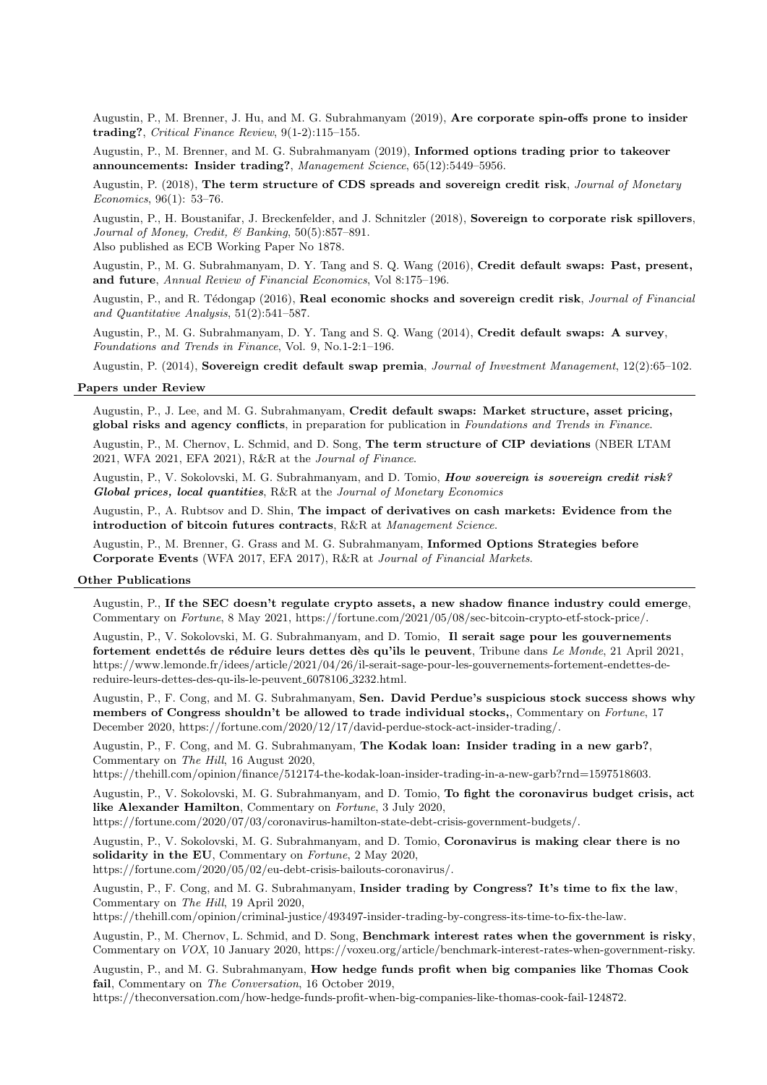Augustin, P., M. Brenner, J. Hu, and M. G. Subrahmanyam (2019), Are corporate spin-offs prone to insider trading?, Critical Finance Review, 9(1-2):115–155.

Augustin, P., M. Brenner, and M. G. Subrahmanyam (2019), Informed options trading prior to takeover announcements: Insider trading?, Management Science, 65(12):5449–5956.

Augustin, P. (2018), The term structure of CDS spreads and sovereign credit risk, Journal of Monetary Economics, 96(1): 53–76.

Augustin, P., H. Boustanifar, J. Breckenfelder, and J. Schnitzler (2018), Sovereign to corporate risk spillovers, Journal of Money, Credit, & Banking, 50(5):857–891. Also published as ECB Working Paper No 1878.

Augustin, P., M. G. Subrahmanyam, D. Y. Tang and S. Q. Wang (2016), Credit default swaps: Past, present, and future, Annual Review of Financial Economics, Vol 8:175–196.

Augustin, P., and R. Tédongap (2016), Real economic shocks and sovereign credit risk, Journal of Financial and Quantitative Analysis, 51(2):541–587.

Augustin, P., M. G. Subrahmanyam, D. Y. Tang and S. Q. Wang (2014), Credit default swaps: A survey, Foundations and Trends in Finance, Vol. 9, No.1-2:1–196.

Augustin, P. (2014), Sovereign credit default swap premia, Journal of Investment Management, 12(2):65–102.

# Papers under Review

Augustin, P., J. Lee, and M. G. Subrahmanyam, Credit default swaps: Market structure, asset pricing, global risks and agency conflicts, in preparation for publication in Foundations and Trends in Finance.

Augustin, P., M. Chernov, L. Schmid, and D. Song, The term structure of CIP deviations (NBER LTAM 2021, WFA 2021, EFA 2021), R&R at the Journal of Finance.

Augustin, P., V. Sokolovski, M. G. Subrahmanyam, and D. Tomio, *How sovereign is sovereign credit risk?* Global prices, local quantities, R&R at the Journal of Monetary Economics

Augustin, P., A. Rubtsov and D. Shin, The impact of derivatives on cash markets: Evidence from the introduction of bitcoin futures contracts, R&R at Management Science.

Augustin, P., M. Brenner, G. Grass and M. G. Subrahmanyam, Informed Options Strategies before Corporate Events (WFA 2017, EFA 2017), R&R at Journal of Financial Markets.

#### Other Publications

Augustin, P., If the SEC doesn't regulate crypto assets, a new shadow finance industry could emerge, Commentary on Fortune, 8 May 2021, https://fortune.com/2021/05/08/sec-bitcoin-crypto-etf-stock-price/.

Augustin, P., V. Sokolovski, M. G. Subrahmanyam, and D. Tomio, Il serait sage pour les gouvernements fortement endettés de réduire leurs dettes dès qu'ils le peuvent, Tribune dans Le Monde, 21 April 2021, https://www.lemonde.fr/idees/article/2021/04/26/il-serait-sage-pour-les-gouvernements-fortement-endettes-dereduire-leurs-dettes-des-qu-ils-le-peuvent 6078106 3232.html.

Augustin, P., F. Cong, and M. G. Subrahmanyam, Sen. David Perdue's suspicious stock success shows why members of Congress shouldn't be allowed to trade individual stocks,, Commentary on Fortune, 17 December 2020, https://fortune.com/2020/12/17/david-perdue-stock-act-insider-trading/.

Augustin, P., F. Cong, and M. G. Subrahmanyam, The Kodak loan: Insider trading in a new garb?, Commentary on The Hill, 16 August 2020,

https://thehill.com/opinion/finance/512174-the-kodak-loan-insider-trading-in-a-new-garb?rnd=1597518603.

Augustin, P., V. Sokolovski, M. G. Subrahmanyam, and D. Tomio, To fight the coronavirus budget crisis, act like Alexander Hamilton, Commentary on Fortune, 3 July 2020,

https://fortune.com/2020/07/03/coronavirus-hamilton-state-debt-crisis-government-budgets/.

Augustin, P., V. Sokolovski, M. G. Subrahmanyam, and D. Tomio, Coronavirus is making clear there is no solidarity in the EU, Commentary on Fortune, 2 May 2020,

https://fortune.com/2020/05/02/eu-debt-crisis-bailouts-coronavirus/.

Augustin, P., F. Cong, and M. G. Subrahmanyam, Insider trading by Congress? It's time to fix the law, Commentary on The Hill, 19 April 2020,

https://thehill.com/opinion/criminal-justice/493497-insider-trading-by-congress-its-time-to-fix-the-law.

Augustin, P., M. Chernov, L. Schmid, and D. Song, Benchmark interest rates when the government is risky, Commentary on VOX, 10 January 2020, https://voxeu.org/article/benchmark-interest-rates-when-government-risky.

Augustin, P., and M. G. Subrahmanyam, How hedge funds profit when big companies like Thomas Cook fail, Commentary on The Conversation, 16 October 2019,

https://theconversation.com/how-hedge-funds-profit-when-big-companies-like-thomas-cook-fail-124872.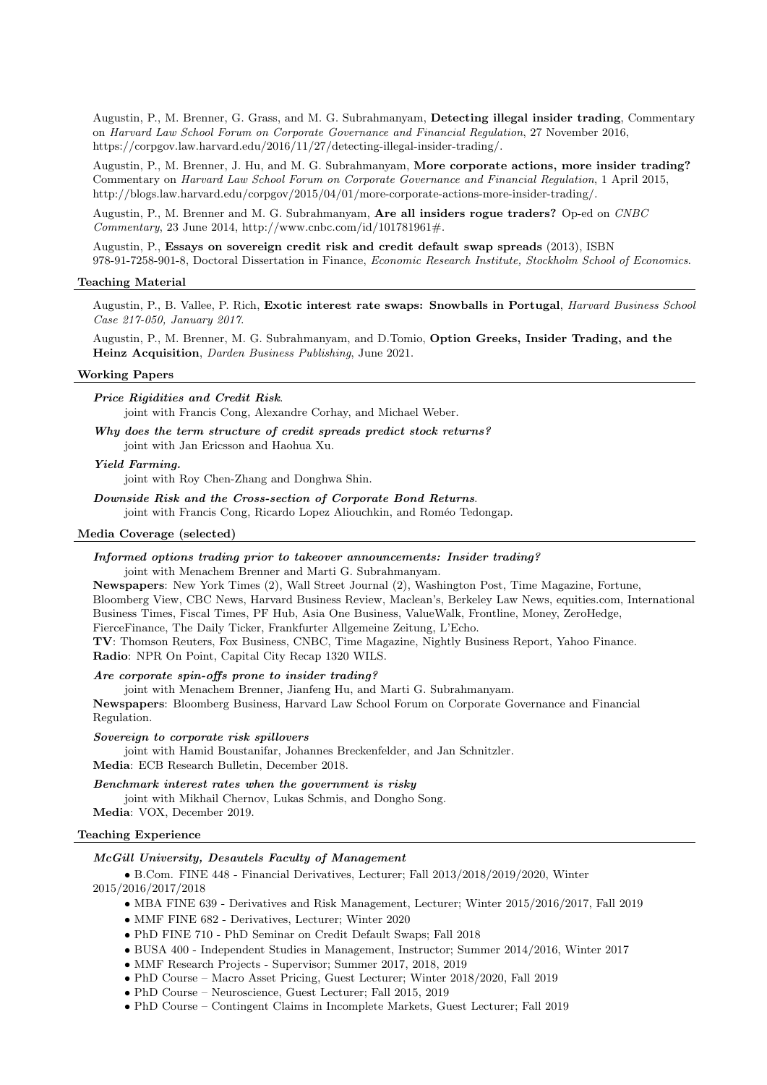Augustin, P., M. Brenner, G. Grass, and M. G. Subrahmanyam, Detecting illegal insider trading, Commentary on Harvard Law School Forum on Corporate Governance and Financial Regulation, 27 November 2016, https://corpgov.law.harvard.edu/2016/11/27/detecting-illegal-insider-trading/.

Augustin, P., M. Brenner, J. Hu, and M. G. Subrahmanyam, More corporate actions, more insider trading? Commentary on Harvard Law School Forum on Corporate Governance and Financial Regulation, 1 April 2015, http://blogs.law.harvard.edu/corpgov/2015/04/01/more-corporate-actions-more-insider-trading/.

Augustin, P., M. Brenner and M. G. Subrahmanyam, Are all insiders rogue traders? Op-ed on CNBC Commentary, 23 June 2014, http://www.cnbc.com/id/101781961#.

Augustin, P., Essays on sovereign credit risk and credit default swap spreads (2013), ISBN 978-91-7258-901-8, Doctoral Dissertation in Finance, Economic Research Institute, Stockholm School of Economics.

#### Teaching Material

Augustin, P., B. Vallee, P. Rich, Exotic interest rate swaps: Snowballs in Portugal, Harvard Business School Case 217-050, January 2017.

Augustin, P., M. Brenner, M. G. Subrahmanyam, and D.Tomio, Option Greeks, Insider Trading, and the Heinz Acquisition, Darden Business Publishing, June 2021.

#### Working Papers

Price Rigidities and Credit Risk. joint with Francis Cong, Alexandre Corhay, and Michael Weber.

Why does the term structure of credit spreads predict stock returns? joint with Jan Ericsson and Haohua Xu.

#### Yield Farming.

joint with Roy Chen-Zhang and Donghwa Shin.

Downside Risk and the Cross-section of Corporate Bond Returns. joint with Francis Cong, Ricardo Lopez Aliouchkin, and Roméo Tedongap.

#### Media Coverage (selected)

# Informed options trading prior to takeover announcements: Insider trading?

joint with Menachem Brenner and Marti G. Subrahmanyam.

Newspapers: New York Times (2), Wall Street Journal (2), Washington Post, Time Magazine, Fortune, Bloomberg View, CBC News, Harvard Business Review, Maclean's, Berkeley Law News, equities.com, International Business Times, Fiscal Times, PF Hub, Asia One Business, ValueWalk, Frontline, Money, ZeroHedge, FierceFinance, The Daily Ticker, Frankfurter Allgemeine Zeitung, L'Echo.

TV: Thomson Reuters, Fox Business, CNBC, Time Magazine, Nightly Business Report, Yahoo Finance. Radio: NPR On Point, Capital City Recap 1320 WILS.

#### Are corporate spin-offs prone to insider trading?

joint with Menachem Brenner, Jianfeng Hu, and Marti G. Subrahmanyam.

Newspapers: Bloomberg Business, Harvard Law School Forum on Corporate Governance and Financial Regulation.

#### Sovereign to corporate risk spillovers

joint with Hamid Boustanifar, Johannes Breckenfelder, and Jan Schnitzler. Media: ECB Research Bulletin, December 2018.

# Benchmark interest rates when the government is risky

joint with Mikhail Chernov, Lukas Schmis, and Dongho Song.

# Media: VOX, December 2019.

#### Teaching Experience

# McGill University, Desautels Faculty of Management

• B.Com. FINE 448 - Financial Derivatives, Lecturer; Fall 2013/2018/2019/2020, Winter 2015/2016/2017/2018

- MBA FINE 639 Derivatives and Risk Management, Lecturer; Winter  $2015/2016/2017$ , Fall 2019
- MMF FINE 682 Derivatives, Lecturer; Winter 2020
- PhD FINE 710 PhD Seminar on Credit Default Swaps; Fall 2018
- BUSA 400 Independent Studies in Management, Instructor; Summer 2014/2016, Winter 2017
- MMF Research Projects Supervisor; Summer 2017, 2018, 2019
- PhD Course Macro Asset Pricing, Guest Lecturer; Winter 2018/2020, Fall 2019
- PhD Course Neuroscience, Guest Lecturer; Fall 2015, 2019
- PhD Course Contingent Claims in Incomplete Markets, Guest Lecturer; Fall 2019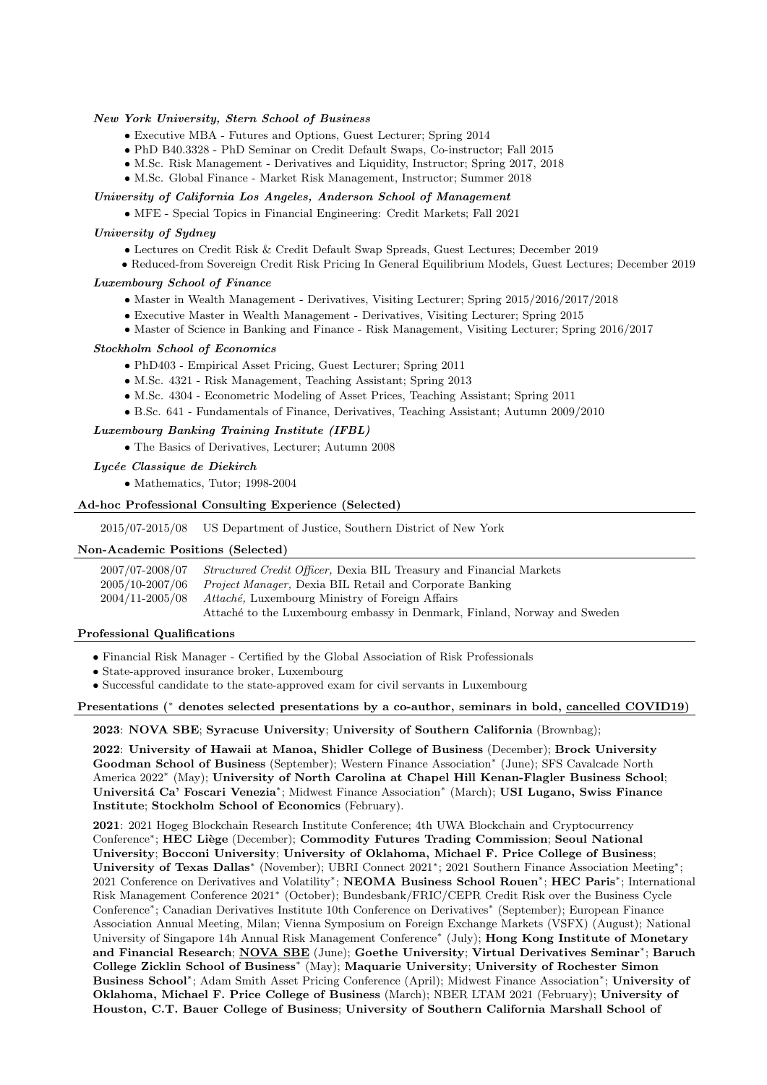# New York University, Stern School of Business

- Executive MBA Futures and Options, Guest Lecturer; Spring 2014
- PhD B40.3328 PhD Seminar on Credit Default Swaps, Co-instructor; Fall 2015
- M.Sc. Risk Management Derivatives and Liquidity, Instructor; Spring 2017, 2018
- M.Sc. Global Finance Market Risk Management, Instructor; Summer 2018

# University of California Los Angeles, Anderson School of Management

• MFE - Special Topics in Financial Engineering: Credit Markets; Fall 2021

# University of Sydney

- Lectures on Credit Risk & Credit Default Swap Spreads, Guest Lectures; December 2019
- Reduced-from Sovereign Credit Risk Pricing In General Equilibrium Models, Guest Lectures; December 2019

# Luxembourg School of Finance

- Master in Wealth Management Derivatives, Visiting Lecturer; Spring 2015/2016/2017/2018
- Executive Master in Wealth Management Derivatives, Visiting Lecturer; Spring 2015
- Master of Science in Banking and Finance Risk Management, Visiting Lecturer; Spring 2016/2017

# Stockholm School of Economics

- PhD403 Empirical Asset Pricing, Guest Lecturer; Spring 2011
- M.Sc. 4321 Risk Management, Teaching Assistant; Spring 2013
- M.Sc. 4304 Econometric Modeling of Asset Prices, Teaching Assistant; Spring 2011
- B.Sc. 641 Fundamentals of Finance, Derivatives, Teaching Assistant; Autumn 2009/2010

# Luxembourg Banking Training Institute (IFBL)

• The Basics of Derivatives, Lecturer; Autumn 2008

#### Lycée Classique de Diekirch

• Mathematics, Tutor; 1998-2004

### Ad-hoc Professional Consulting Experience (Selected)

2015/07-2015/08 US Department of Justice, Southern District of New York

# Non-Academic Positions (Selected)

| 2007/07-2008/07                                                 | <i>Structured Credit Officer</i> , Dexia BIL Treasury and Financial Markets |  |
|-----------------------------------------------------------------|-----------------------------------------------------------------------------|--|
| 2005/10-2007/06                                                 | <i>Project Manager</i> , Dexia BIL Retail and Corporate Banking             |  |
| 2004/11-2005/08 Attaché, Luxembourg Ministry of Foreign Affairs |                                                                             |  |
|                                                                 | Attaché to the Luxembourg embassy in Denmark, Finland, Norway and Sweden    |  |

### Professional Qualifications

- Financial Risk Manager Certified by the Global Association of Risk Professionals
- State-approved insurance broker, Luxembourg
- Successful candidate to the state-approved exam for civil servants in Luxembourg

#### Presentations (\* denotes selected presentations by a co-author, seminars in bold, cancelled COVID19)

# 2023: NOVA SBE; Syracuse University; University of Southern California (Brownbag);

2022: University of Hawaii at Manoa, Shidler College of Business (December); Brock University Goodman School of Business (September); Western Finance Association<sup>\*</sup> (June); SFS Cavalcade North America 2022<sup>∗</sup> (May); University of North Carolina at Chapel Hill Kenan-Flagler Business School; Universitá Ca' Foscari Venezia<sup>∗</sup>; Midwest Finance Association<sup>\*</sup> (March); USI Lugano, Swiss Finance Institute; Stockholm School of Economics (February).

2021: 2021 Hogeg Blockchain Research Institute Conference; 4th UWA Blockchain and Cryptocurrency Conference<sup>\*</sup>; HEC Liège (December); Commodity Futures Trading Commission; Seoul National University; Bocconi University; University of Oklahoma, Michael F. Price College of Business; University of Texas Dallas<sup>\*</sup> (November); UBRI Connect 2021<sup>\*</sup>; 2021 Southern Finance Association Meeting<sup>\*</sup>; 2021 Conference on Derivatives and Volatility\*; NEOMA Business School Rouen<sup>\*</sup>; HEC Paris<sup>\*</sup>; International Risk Management Conference 2021<sup>∗</sup> (October); Bundesbank/FRIC/CEPR Credit Risk over the Business Cycle Conference<sup>∗</sup> ; Canadian Derivatives Institute 10th Conference on Derivatives<sup>∗</sup> (September); European Finance Association Annual Meeting, Milan; Vienna Symposium on Foreign Exchange Markets (VSFX) (August); National University of Singapore 14h Annual Risk Management Conference<sup>\*</sup> (July); Hong Kong Institute of Monetary and Financial Research; NOVA SBE (June); Goethe University; Virtual Derivatives Seminar<sup>∗</sup>; Baruch College Zicklin School of Business<sup>∗</sup> (May); Maquarie University; University of Rochester Simon Business School\*; Adam Smith Asset Pricing Conference (April); Midwest Finance Association\*; University of Oklahoma, Michael F. Price College of Business (March); NBER LTAM 2021 (February); University of Houston, C.T. Bauer College of Business; University of Southern California Marshall School of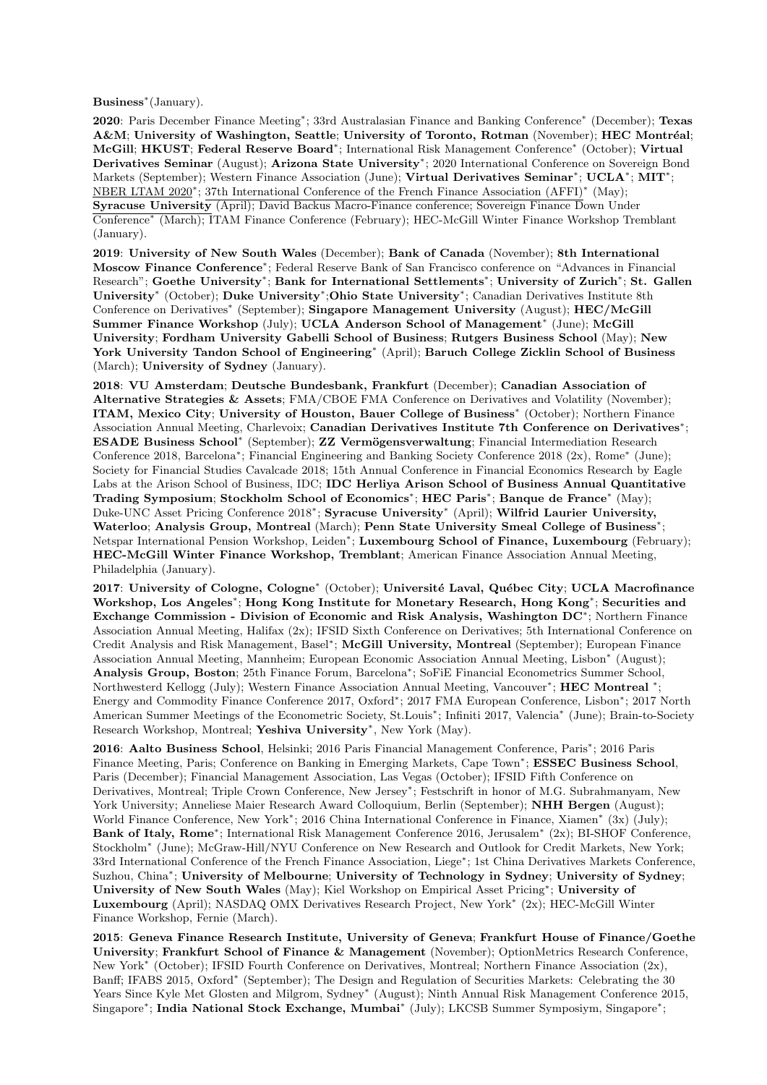Business<sup>∗</sup> (January).

2020: Paris December Finance Meeting<sup>∗</sup>; 33rd Australasian Finance and Banking Conference<sup>\*</sup> (December); Texas A&M; University of Washington, Seattle; University of Toronto, Rotman (November); HEC Montréal; McGill; HKUST; Federal Reserve Board<sup>∗</sup>; International Risk Management Conference<sup>\*</sup> (October); Virtual Derivatives Seminar (August); Arizona State University<sup>\*</sup>; 2020 International Conference on Sovereign Bond Markets (September); Western Finance Association (June); Virtual Derivatives Seminar<sup>∗</sup>; UCLA<sup>∗</sup>; MIT<sup>\*</sup>; NBER LTAM 2020<sup>\*</sup>; 37th International Conference of the French Finance Association (AFFI)<sup>\*</sup> (May); Syracuse University (April); David Backus Macro-Finance conference; Sovereign Finance Down Under Conference<sup>∗</sup> (March); ITAM Finance Conference (February); HEC-McGill Winter Finance Workshop Tremblant (January).

2019: University of New South Wales (December); Bank of Canada (November); 8th International Moscow Finance Conference<sup>∗</sup>; Federal Reserve Bank of San Francisco conference on "Advances in Financial Research"; Goethe University<sup>∗</sup> ; Bank for International Settlements<sup>∗</sup> ; University of Zurich<sup>∗</sup> ; St. Gallen University<sup>\*</sup> (October); Duke University<sup>\*</sup>;Ohio State University<sup>\*</sup>; Canadian Derivatives Institute 8th Conference on Derivatives<sup>\*</sup> (September); Singapore Management University (August); HEC/McGill Summer Finance Workshop (July); UCLA Anderson School of Management<sup>∗</sup> (June); McGill University; Fordham University Gabelli School of Business; Rutgers Business School (May); New York University Tandon School of Engineering<sup>∗</sup> (April); Baruch College Zicklin School of Business (March); University of Sydney (January).

2018: VU Amsterdam; Deutsche Bundesbank, Frankfurt (December); Canadian Association of Alternative Strategies & Assets; FMA/CBOE FMA Conference on Derivatives and Volatility (November); ITAM, Mexico City; University of Houston, Bauer College of Business<sup>∗</sup> (October); Northern Finance Association Annual Meeting, Charlevoix; Canadian Derivatives Institute 7th Conference on Derivatives<sup>\*</sup>; ESADE Business School\* (September); ZZ Vermögensverwaltung; Financial Intermediation Research Conference 2018, Barcelona<sup>∗</sup> ; Financial Engineering and Banking Society Conference 2018 (2x), Rome<sup>∗</sup> (June); Society for Financial Studies Cavalcade 2018; 15th Annual Conference in Financial Economics Research by Eagle Labs at the Arison School of Business, IDC; IDC Herliya Arison School of Business Annual Quantitative Trading Symposium; Stockholm School of Economics\*; HEC Paris\*; Banque de France\* (May); Duke-UNC Asset Pricing Conference 2018<sup>∗</sup> ; Syracuse University<sup>∗</sup> (April); Wilfrid Laurier University, Waterloo; Analysis Group, Montreal (March); Penn State University Smeal College of Business<sup>\*</sup>; Netspar International Pension Workshop, Leiden<sup>\*</sup>; Luxembourg School of Finance, Luxembourg (February); HEC-McGill Winter Finance Workshop, Tremblant; American Finance Association Annual Meeting, Philadelphia (January).

2017: University of Cologne, Cologne<sup>∗</sup> (October); Université Laval, Québec City; UCLA Macrofinance Workshop, Los Angeles<sup>∗</sup> ; Hong Kong Institute for Monetary Research, Hong Kong<sup>∗</sup> ; Securities and Exchange Commission - Division of Economic and Risk Analysis, Washington DC\*; Northern Finance Association Annual Meeting, Halifax (2x); IFSID Sixth Conference on Derivatives; 5th International Conference on Credit Analysis and Risk Management, Basel<sup>∗</sup> ; McGill University, Montreal (September); European Finance Association Annual Meeting, Mannheim; European Economic Association Annual Meeting, Lisbon<sup>∗</sup> (August); Analysis Group, Boston; 25th Finance Forum, Barcelona<sup>∗</sup> ; SoFiE Financial Econometrics Summer School, Northwesterd Kellogg (July); Western Finance Association Annual Meeting, Vancouver<sup>\*</sup>; **HEC Montreal** <sup>\*</sup>; Energy and Commodity Finance Conference 2017, Oxford<sup>∗</sup> ; 2017 FMA European Conference, Lisbon<sup>∗</sup> ; 2017 North American Summer Meetings of the Econometric Society, St.Louis<sup>∗</sup> ; Infiniti 2017, Valencia<sup>∗</sup> (June); Brain-to-Society Research Workshop, Montreal; Yeshiva University<sup>\*</sup>, New York (May).

2016: Aalto Business School, Helsinki; 2016 Paris Financial Management Conference, Paris<sup>∗</sup> ; 2016 Paris Finance Meeting, Paris; Conference on Banking in Emerging Markets, Cape Town<sup>\*</sup>; ESSEC Business School, Paris (December); Financial Management Association, Las Vegas (October); IFSID Fifth Conference on Derivatives, Montreal; Triple Crown Conference, New Jersey<sup>∗</sup> ; Festschrift in honor of M.G. Subrahmanyam, New York University; Anneliese Maier Research Award Colloquium, Berlin (September); NHH Bergen (August); World Finance Conference, New York<sup>∗</sup> ; 2016 China International Conference in Finance, Xiamen<sup>∗</sup> (3x) (July); Bank of Italy, Rome<sup>∗</sup>; International Risk Management Conference 2016, Jerusalem<sup>∗</sup> (2x); BI-SHOF Conference, Stockholm<sup>∗</sup> (June); McGraw-Hill/NYU Conference on New Research and Outlook for Credit Markets, New York; 33rd International Conference of the French Finance Association, Liege<sup>∗</sup> ; 1st China Derivatives Markets Conference, Suzhou, China<sup>∗</sup> ; University of Melbourne; University of Technology in Sydney; University of Sydney; University of New South Wales (May); Kiel Workshop on Empirical Asset Pricing<sup>\*</sup>; University of Luxembourg (April); NASDAQ OMX Derivatives Research Project, New York<sup>∗</sup> (2x); HEC-McGill Winter Finance Workshop, Fernie (March).

2015: Geneva Finance Research Institute, University of Geneva; Frankfurt House of Finance/Goethe University; Frankfurt School of Finance & Management (November); OptionMetrics Research Conference, New York<sup>∗</sup> (October); IFSID Fourth Conference on Derivatives, Montreal; Northern Finance Association (2x), Banff; IFABS 2015, Oxford<sup>∗</sup> (September); The Design and Regulation of Securities Markets: Celebrating the 30 Years Since Kyle Met Glosten and Milgrom, Sydney<sup>∗</sup> (August); Ninth Annual Risk Management Conference 2015, Singapore<sup>∗</sup>; India National Stock Exchange, Mumbai<sup>\*</sup> (July); LKCSB Summer Symposiym, Singapore<sup>∗</sup>;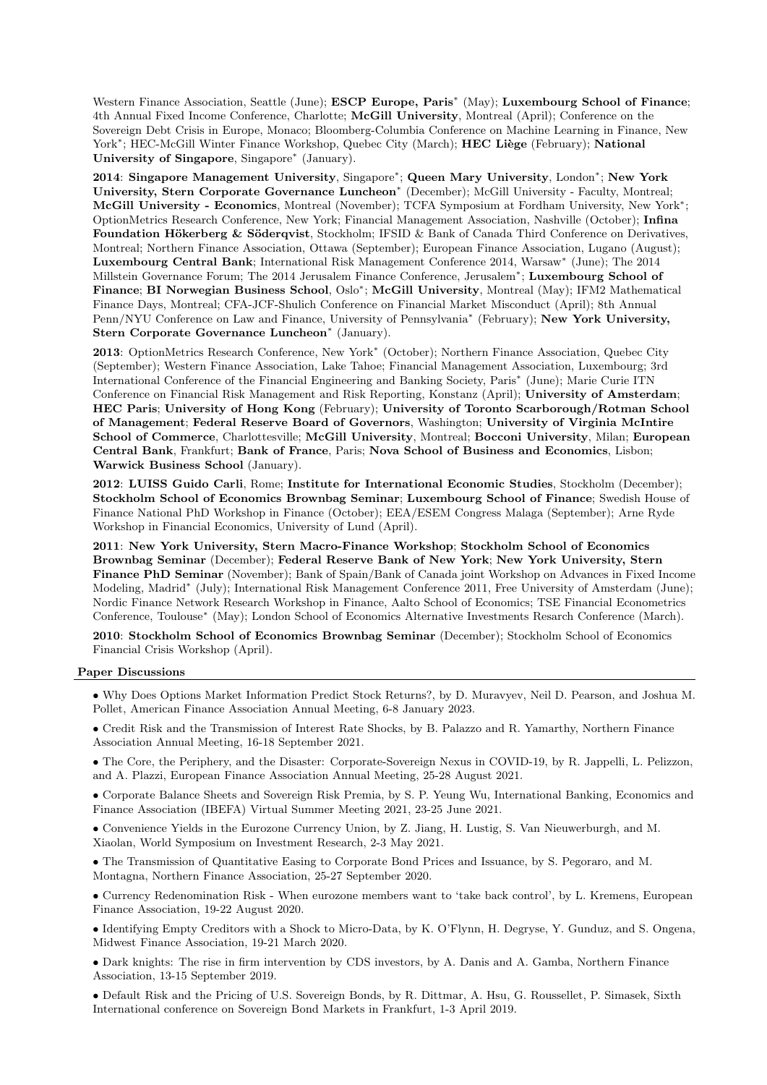Western Finance Association, Seattle (June); ESCP Europe, Paris<sup>\*</sup> (May); Luxembourg School of Finance; 4th Annual Fixed Income Conference, Charlotte; McGill University, Montreal (April); Conference on the Sovereign Debt Crisis in Europe, Monaco; Bloomberg-Columbia Conference on Machine Learning in Finance, New York<sup>∗</sup>; HEC-McGill Winter Finance Workshop, Quebec City (March); HEC Liège (February); National University of Singapore, Singapore<sup>∗</sup> (January).

2014: Singapore Management University, Singapore<sup>∗</sup> ; Queen Mary University, London<sup>∗</sup> ; New York University, Stern Corporate Governance Luncheon<sup>∗</sup> (December); McGill University - Faculty, Montreal; McGill University - Economics, Montreal (November); TCFA Symposium at Fordham University, New York<sup>\*</sup>; OptionMetrics Research Conference, New York; Financial Management Association, Nashville (October); Infina Foundation Hökerberg & Söderqvist, Stockholm; IFSID & Bank of Canada Third Conference on Derivatives, Montreal; Northern Finance Association, Ottawa (September); European Finance Association, Lugano (August); Luxembourg Central Bank; International Risk Management Conference 2014, Warsaw<sup>∗</sup> (June); The 2014 Millstein Governance Forum; The 2014 Jerusalem Finance Conference, Jerusalem<sup>∗</sup>; Luxembourg School of Finance; BI Norwegian Business School, Oslo<sup>∗</sup>; McGill University, Montreal (May); IFM2 Mathematical Finance Days, Montreal; CFA-JCF-Shulich Conference on Financial Market Misconduct (April); 8th Annual Penn/NYU Conference on Law and Finance, University of Pennsylvania<sup>\*</sup> (February); New York University, Stern Corporate Governance Luncheon<sup>∗</sup> (January).

2013: OptionMetrics Research Conference, New York<sup>\*</sup> (October); Northern Finance Association, Quebec City (September); Western Finance Association, Lake Tahoe; Financial Management Association, Luxembourg; 3rd International Conference of the Financial Engineering and Banking Society, Paris<sup>∗</sup> (June); Marie Curie ITN Conference on Financial Risk Management and Risk Reporting, Konstanz (April); University of Amsterdam; HEC Paris; University of Hong Kong (February); University of Toronto Scarborough/Rotman School of Management; Federal Reserve Board of Governors, Washington; University of Virginia McIntire School of Commerce, Charlottesville; McGill University, Montreal; Bocconi University, Milan; European Central Bank, Frankfurt; Bank of France, Paris; Nova School of Business and Economics, Lisbon; Warwick Business School (January).

2012: LUISS Guido Carli, Rome; Institute for International Economic Studies, Stockholm (December); Stockholm School of Economics Brownbag Seminar; Luxembourg School of Finance; Swedish House of Finance National PhD Workshop in Finance (October); EEA/ESEM Congress Malaga (September); Arne Ryde Workshop in Financial Economics, University of Lund (April).

2011: New York University, Stern Macro-Finance Workshop; Stockholm School of Economics Brownbag Seminar (December); Federal Reserve Bank of New York; New York University, Stern Finance PhD Seminar (November); Bank of Spain/Bank of Canada joint Workshop on Advances in Fixed Income Modeling, Madrid<sup>∗</sup> (July); International Risk Management Conference 2011, Free University of Amsterdam (June); Nordic Finance Network Research Workshop in Finance, Aalto School of Economics; TSE Financial Econometrics Conference, Toulouse<sup>∗</sup> (May); London School of Economics Alternative Investments Resarch Conference (March).

2010: Stockholm School of Economics Brownbag Seminar (December); Stockholm School of Economics Financial Crisis Workshop (April).

# Paper Discussions

• Why Does Options Market Information Predict Stock Returns?, by D. Muravyev, Neil D. Pearson, and Joshua M. Pollet, American Finance Association Annual Meeting, 6-8 January 2023.

• Credit Risk and the Transmission of Interest Rate Shocks, by B. Palazzo and R. Yamarthy, Northern Finance Association Annual Meeting, 16-18 September 2021.

• The Core, the Periphery, and the Disaster: Corporate-Sovereign Nexus in COVID-19, by R. Jappelli, L. Pelizzon, and A. Plazzi, European Finance Association Annual Meeting, 25-28 August 2021.

• Corporate Balance Sheets and Sovereign Risk Premia, by S. P. Yeung Wu, International Banking, Economics and Finance Association (IBEFA) Virtual Summer Meeting 2021, 23-25 June 2021.

• Convenience Yields in the Eurozone Currency Union, by Z. Jiang, H. Lustig, S. Van Nieuwerburgh, and M. Xiaolan, World Symposium on Investment Research, 2-3 May 2021.

• The Transmission of Quantitative Easing to Corporate Bond Prices and Issuance, by S. Pegoraro, and M. Montagna, Northern Finance Association, 25-27 September 2020.

• Currency Redenomination Risk - When eurozone members want to 'take back control', by L. Kremens, European Finance Association, 19-22 August 2020.

• Identifying Empty Creditors with a Shock to Micro-Data, by K. O'Flynn, H. Degryse, Y. Gunduz, and S. Ongena, Midwest Finance Association, 19-21 March 2020.

• Dark knights: The rise in firm intervention by CDS investors, by A. Danis and A. Gamba, Northern Finance Association, 13-15 September 2019.

• Default Risk and the Pricing of U.S. Sovereign Bonds, by R. Dittmar, A. Hsu, G. Roussellet, P. Simasek, Sixth International conference on Sovereign Bond Markets in Frankfurt, 1-3 April 2019.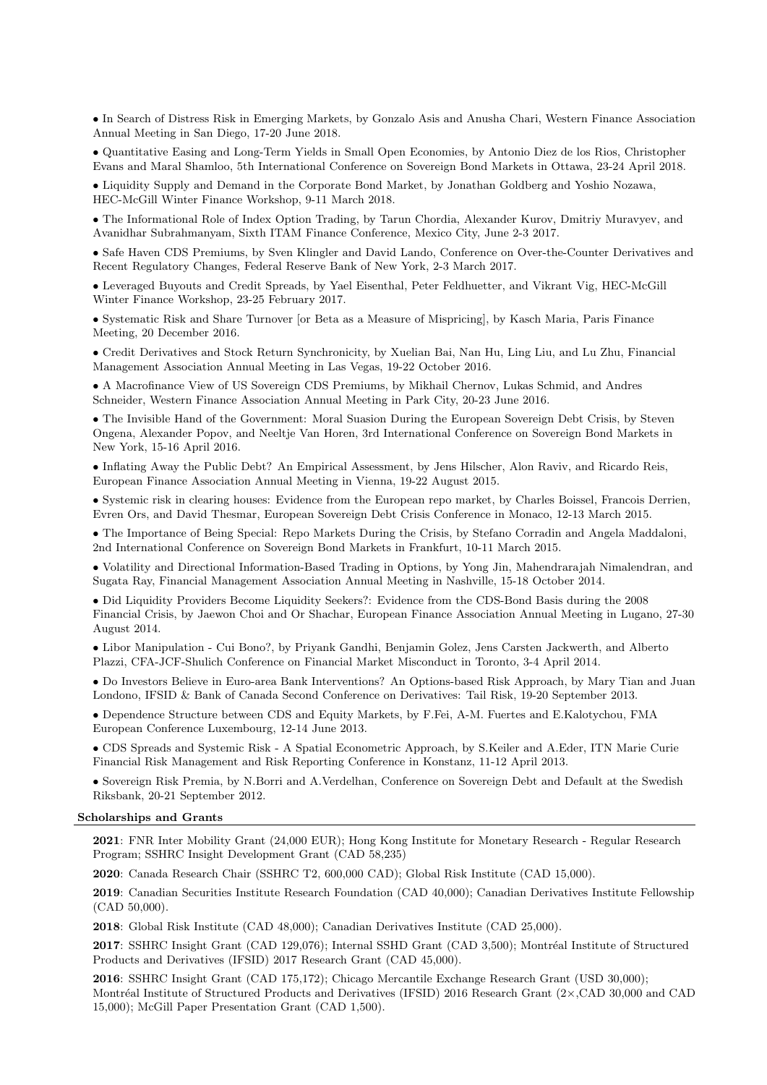• In Search of Distress Risk in Emerging Markets, by Gonzalo Asis and Anusha Chari, Western Finance Association Annual Meeting in San Diego, 17-20 June 2018.

• Quantitative Easing and Long-Term Yields in Small Open Economies, by Antonio Diez de los Rios, Christopher Evans and Maral Shamloo, 5th International Conference on Sovereign Bond Markets in Ottawa, 23-24 April 2018.

• Liquidity Supply and Demand in the Corporate Bond Market, by Jonathan Goldberg and Yoshio Nozawa, HEC-McGill Winter Finance Workshop, 9-11 March 2018.

• The Informational Role of Index Option Trading, by Tarun Chordia, Alexander Kurov, Dmitriy Muravyev, and Avanidhar Subrahmanyam, Sixth ITAM Finance Conference, Mexico City, June 2-3 2017.

• Safe Haven CDS Premiums, by Sven Klingler and David Lando, Conference on Over-the-Counter Derivatives and Recent Regulatory Changes, Federal Reserve Bank of New York, 2-3 March 2017.

• Leveraged Buyouts and Credit Spreads, by Yael Eisenthal, Peter Feldhuetter, and Vikrant Vig, HEC-McGill Winter Finance Workshop, 23-25 February 2017.

• Systematic Risk and Share Turnover [or Beta as a Measure of Mispricing], by Kasch Maria, Paris Finance Meeting, 20 December 2016.

• Credit Derivatives and Stock Return Synchronicity, by Xuelian Bai, Nan Hu, Ling Liu, and Lu Zhu, Financial Management Association Annual Meeting in Las Vegas, 19-22 October 2016.

• A Macrofinance View of US Sovereign CDS Premiums, by Mikhail Chernov, Lukas Schmid, and Andres Schneider, Western Finance Association Annual Meeting in Park City, 20-23 June 2016.

• The Invisible Hand of the Government: Moral Suasion During the European Sovereign Debt Crisis, by Steven Ongena, Alexander Popov, and Neeltje Van Horen, 3rd International Conference on Sovereign Bond Markets in New York, 15-16 April 2016.

• Inflating Away the Public Debt? An Empirical Assessment, by Jens Hilscher, Alon Raviv, and Ricardo Reis, European Finance Association Annual Meeting in Vienna, 19-22 August 2015.

• Systemic risk in clearing houses: Evidence from the European repo market, by Charles Boissel, Francois Derrien, Evren Ors, and David Thesmar, European Sovereign Debt Crisis Conference in Monaco, 12-13 March 2015.

• The Importance of Being Special: Repo Markets During the Crisis, by Stefano Corradin and Angela Maddaloni, 2nd International Conference on Sovereign Bond Markets in Frankfurt, 10-11 March 2015.

• Volatility and Directional Information-Based Trading in Options, by Yong Jin, Mahendrarajah Nimalendran, and Sugata Ray, Financial Management Association Annual Meeting in Nashville, 15-18 October 2014.

• Did Liquidity Providers Become Liquidity Seekers?: Evidence from the CDS-Bond Basis during the 2008 Financial Crisis, by Jaewon Choi and Or Shachar, European Finance Association Annual Meeting in Lugano, 27-30 August 2014.

• Libor Manipulation - Cui Bono?, by Priyank Gandhi, Benjamin Golez, Jens Carsten Jackwerth, and Alberto Plazzi, CFA-JCF-Shulich Conference on Financial Market Misconduct in Toronto, 3-4 April 2014.

• Do Investors Believe in Euro-area Bank Interventions? An Options-based Risk Approach, by Mary Tian and Juan Londono, IFSID & Bank of Canada Second Conference on Derivatives: Tail Risk, 19-20 September 2013.

• Dependence Structure between CDS and Equity Markets, by F.Fei, A-M. Fuertes and E.Kalotychou, FMA European Conference Luxembourg, 12-14 June 2013.

• CDS Spreads and Systemic Risk - A Spatial Econometric Approach, by S.Keiler and A.Eder, ITN Marie Curie Financial Risk Management and Risk Reporting Conference in Konstanz, 11-12 April 2013.

• Sovereign Risk Premia, by N.Borri and A.Verdelhan, Conference on Sovereign Debt and Default at the Swedish Riksbank, 20-21 September 2012.

#### Scholarships and Grants

2021: FNR Inter Mobility Grant (24,000 EUR); Hong Kong Institute for Monetary Research - Regular Research Program; SSHRC Insight Development Grant (CAD 58,235)

2020: Canada Research Chair (SSHRC T2, 600,000 CAD); Global Risk Institute (CAD 15,000).

2019: Canadian Securities Institute Research Foundation (CAD 40,000); Canadian Derivatives Institute Fellowship (CAD 50,000).

2018: Global Risk Institute (CAD 48,000); Canadian Derivatives Institute (CAD 25,000).

2017: SSHRC Insight Grant (CAD 129,076); Internal SSHD Grant (CAD 3,500); Montréal Institute of Structured Products and Derivatives (IFSID) 2017 Research Grant (CAD 45,000).

2016: SSHRC Insight Grant (CAD 175,172); Chicago Mercantile Exchange Research Grant (USD 30,000); Montréal Institute of Structured Products and Derivatives (IFSID) 2016 Research Grant (2×,CAD 30,000 and CAD 15,000); McGill Paper Presentation Grant (CAD 1,500).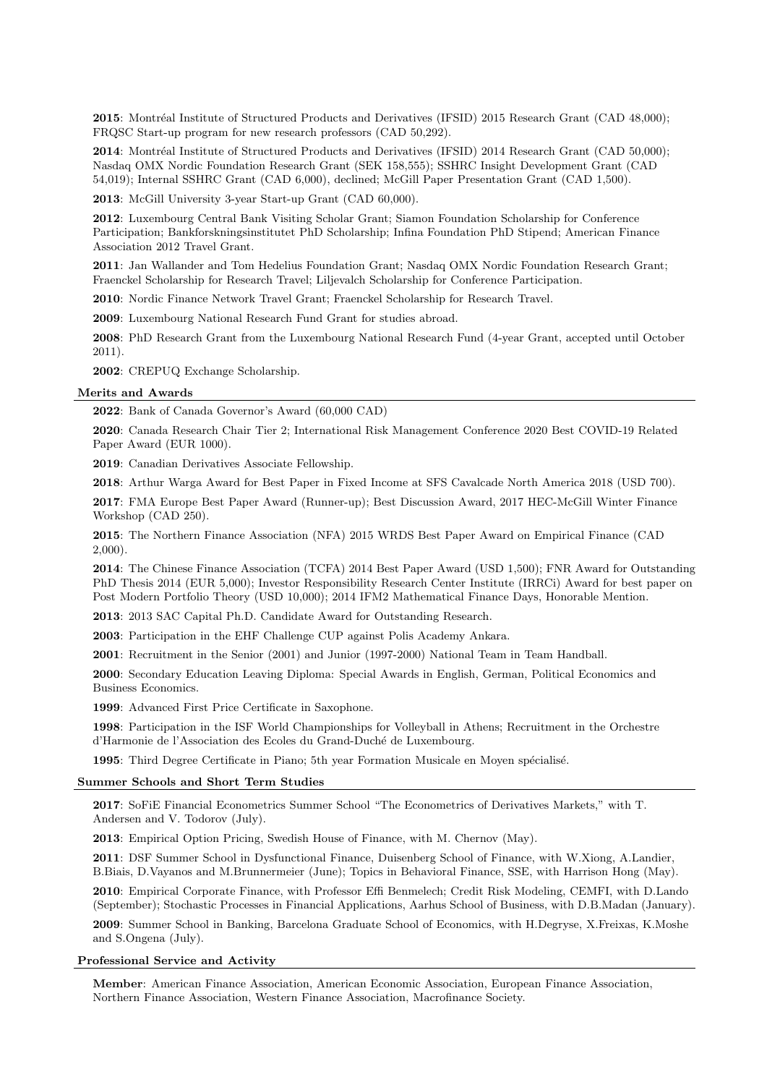2015: Montréal Institute of Structured Products and Derivatives (IFSID) 2015 Research Grant (CAD 48,000); FRQSC Start-up program for new research professors (CAD 50,292).

2014: Montréal Institute of Structured Products and Derivatives (IFSID) 2014 Research Grant (CAD 50,000); Nasdaq OMX Nordic Foundation Research Grant (SEK 158,555); SSHRC Insight Development Grant (CAD 54,019); Internal SSHRC Grant (CAD 6,000), declined; McGill Paper Presentation Grant (CAD 1,500).

2013: McGill University 3-year Start-up Grant (CAD 60,000).

2012: Luxembourg Central Bank Visiting Scholar Grant; Siamon Foundation Scholarship for Conference Participation; Bankforskningsinstitutet PhD Scholarship; Infina Foundation PhD Stipend; American Finance Association 2012 Travel Grant.

2011: Jan Wallander and Tom Hedelius Foundation Grant; Nasdaq OMX Nordic Foundation Research Grant; Fraenckel Scholarship for Research Travel; Liljevalch Scholarship for Conference Participation.

2010: Nordic Finance Network Travel Grant; Fraenckel Scholarship for Research Travel.

2009: Luxembourg National Research Fund Grant for studies abroad.

2008: PhD Research Grant from the Luxembourg National Research Fund (4-year Grant, accepted until October 2011).

2002: CREPUQ Exchange Scholarship.

#### Merits and Awards

2022: Bank of Canada Governor's Award (60,000 CAD)

2020: Canada Research Chair Tier 2; International Risk Management Conference 2020 Best COVID-19 Related Paper Award (EUR 1000).

2019: Canadian Derivatives Associate Fellowship.

2018: Arthur Warga Award for Best Paper in Fixed Income at SFS Cavalcade North America 2018 (USD 700).

2017: FMA Europe Best Paper Award (Runner-up); Best Discussion Award, 2017 HEC-McGill Winter Finance Workshop (CAD 250).

2015: The Northern Finance Association (NFA) 2015 WRDS Best Paper Award on Empirical Finance (CAD 2,000).

2014: The Chinese Finance Association (TCFA) 2014 Best Paper Award (USD 1,500); FNR Award for Outstanding PhD Thesis 2014 (EUR 5,000); Investor Responsibility Research Center Institute (IRRCi) Award for best paper on Post Modern Portfolio Theory (USD 10,000); 2014 IFM2 Mathematical Finance Days, Honorable Mention.

2013: 2013 SAC Capital Ph.D. Candidate Award for Outstanding Research.

2003: Participation in the EHF Challenge CUP against Polis Academy Ankara.

2001: Recruitment in the Senior (2001) and Junior (1997-2000) National Team in Team Handball.

2000: Secondary Education Leaving Diploma: Special Awards in English, German, Political Economics and Business Economics.

1999: Advanced First Price Certificate in Saxophone.

1998: Participation in the ISF World Championships for Volleyball in Athens; Recruitment in the Orchestre d'Harmonie de l'Association des Ecoles du Grand-Duché de Luxembourg.

1995: Third Degree Certificate in Piano; 5th year Formation Musicale en Moyen spécialisé.

### Summer Schools and Short Term Studies

2017: SoFiE Financial Econometrics Summer School "The Econometrics of Derivatives Markets," with T. Andersen and V. Todorov (July).

2013: Empirical Option Pricing, Swedish House of Finance, with M. Chernov (May).

2011: DSF Summer School in Dysfunctional Finance, Duisenberg School of Finance, with W.Xiong, A.Landier, B.Biais, D.Vayanos and M.Brunnermeier (June); Topics in Behavioral Finance, SSE, with Harrison Hong (May).

2010: Empirical Corporate Finance, with Professor Effi Benmelech; Credit Risk Modeling, CEMFI, with D.Lando (September); Stochastic Processes in Financial Applications, Aarhus School of Business, with D.B.Madan (January).

2009: Summer School in Banking, Barcelona Graduate School of Economics, with H.Degryse, X.Freixas, K.Moshe and S.Ongena (July).

#### Professional Service and Activity

Member: American Finance Association, American Economic Association, European Finance Association, Northern Finance Association, Western Finance Association, Macrofinance Society.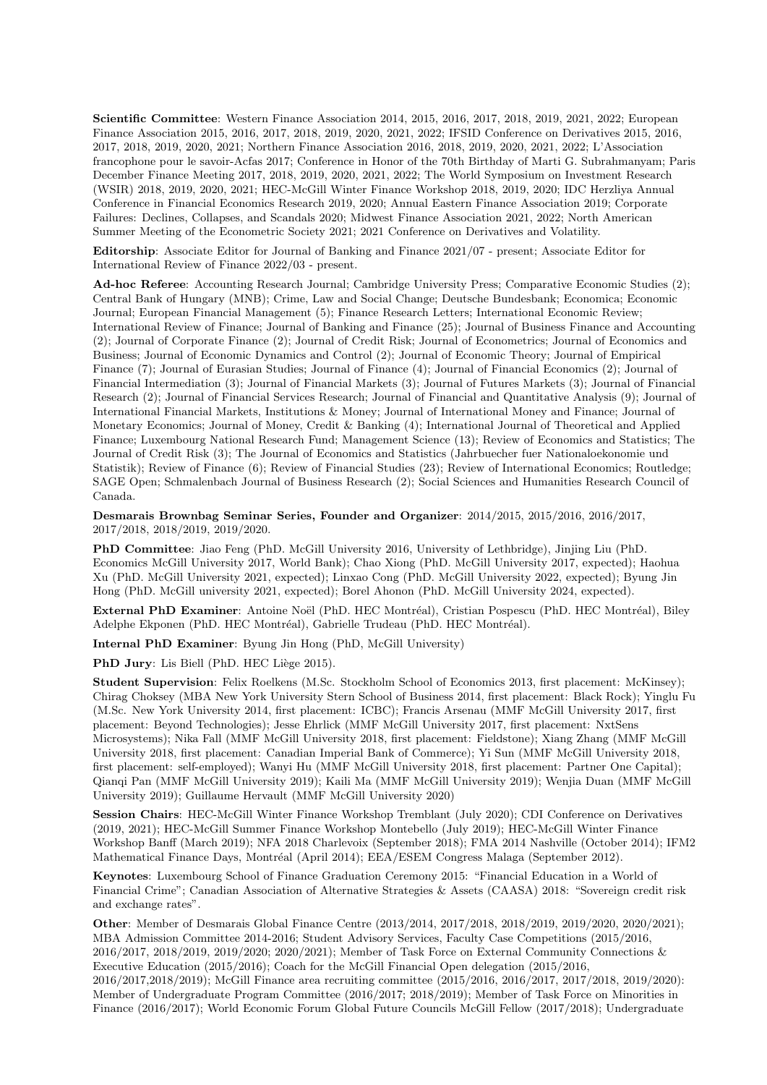Scientific Committee: Western Finance Association 2014, 2015, 2016, 2017, 2018, 2019, 2021, 2022; European Finance Association 2015, 2016, 2017, 2018, 2019, 2020, 2021, 2022; IFSID Conference on Derivatives 2015, 2016, 2017, 2018, 2019, 2020, 2021; Northern Finance Association 2016, 2018, 2019, 2020, 2021, 2022; L'Association francophone pour le savoir-Acfas 2017; Conference in Honor of the 70th Birthday of Marti G. Subrahmanyam; Paris December Finance Meeting 2017, 2018, 2019, 2020, 2021, 2022; The World Symposium on Investment Research (WSIR) 2018, 2019, 2020, 2021; HEC-McGill Winter Finance Workshop 2018, 2019, 2020; IDC Herzliya Annual Conference in Financial Economics Research 2019, 2020; Annual Eastern Finance Association 2019; Corporate Failures: Declines, Collapses, and Scandals 2020; Midwest Finance Association 2021, 2022; North American Summer Meeting of the Econometric Society 2021; 2021 Conference on Derivatives and Volatility.

Editorship: Associate Editor for Journal of Banking and Finance 2021/07 - present; Associate Editor for International Review of Finance 2022/03 - present.

Ad-hoc Referee: Accounting Research Journal; Cambridge University Press; Comparative Economic Studies (2); Central Bank of Hungary (MNB); Crime, Law and Social Change; Deutsche Bundesbank; Economica; Economic Journal; European Financial Management (5); Finance Research Letters; International Economic Review; International Review of Finance; Journal of Banking and Finance (25); Journal of Business Finance and Accounting (2); Journal of Corporate Finance (2); Journal of Credit Risk; Journal of Econometrics; Journal of Economics and Business; Journal of Economic Dynamics and Control (2); Journal of Economic Theory; Journal of Empirical Finance (7); Journal of Eurasian Studies; Journal of Finance (4); Journal of Financial Economics (2); Journal of Financial Intermediation (3); Journal of Financial Markets (3); Journal of Futures Markets (3); Journal of Financial Research (2); Journal of Financial Services Research; Journal of Financial and Quantitative Analysis (9); Journal of International Financial Markets, Institutions & Money; Journal of International Money and Finance; Journal of Monetary Economics; Journal of Money, Credit & Banking (4); International Journal of Theoretical and Applied Finance; Luxembourg National Research Fund; Management Science (13); Review of Economics and Statistics; The Journal of Credit Risk (3); The Journal of Economics and Statistics (Jahrbuecher fuer Nationaloekonomie und Statistik); Review of Finance (6); Review of Financial Studies (23); Review of International Economics; Routledge; SAGE Open; Schmalenbach Journal of Business Research (2); Social Sciences and Humanities Research Council of Canada.

Desmarais Brownbag Seminar Series, Founder and Organizer: 2014/2015, 2015/2016, 2016/2017, 2017/2018, 2018/2019, 2019/2020.

PhD Committee: Jiao Feng (PhD. McGill University 2016, University of Lethbridge), Jinjing Liu (PhD. Economics McGill University 2017, World Bank); Chao Xiong (PhD. McGill University 2017, expected); Haohua Xu (PhD. McGill University 2021, expected); Linxao Cong (PhD. McGill University 2022, expected); Byung Jin Hong (PhD. McGill university 2021, expected); Borel Ahonon (PhD. McGill University 2024, expected).

External PhD Examiner: Antoine Noël (PhD. HEC Montréal), Cristian Pospescu (PhD. HEC Montréal), Biley Adelphe Ekponen (PhD. HEC Montréal), Gabrielle Trudeau (PhD. HEC Montréal).

Internal PhD Examiner: Byung Jin Hong (PhD, McGill University)

PhD Jury: Lis Biell (PhD. HEC Liège 2015).

Student Supervision: Felix Roelkens (M.Sc. Stockholm School of Economics 2013, first placement: McKinsey); Chirag Choksey (MBA New York University Stern School of Business 2014, first placement: Black Rock); Yinglu Fu (M.Sc. New York University 2014, first placement: ICBC); Francis Arsenau (MMF McGill University 2017, first placement: Beyond Technologies); Jesse Ehrlick (MMF McGill University 2017, first placement: NxtSens Microsystems); Nika Fall (MMF McGill University 2018, first placement: Fieldstone); Xiang Zhang (MMF McGill University 2018, first placement: Canadian Imperial Bank of Commerce); Yi Sun (MMF McGill University 2018, first placement: self-employed); Wanyi Hu (MMF McGill University 2018, first placement: Partner One Capital); Qianqi Pan (MMF McGill University 2019); Kaili Ma (MMF McGill University 2019); Wenjia Duan (MMF McGill University 2019); Guillaume Hervault (MMF McGill University 2020)

Session Chairs: HEC-McGill Winter Finance Workshop Tremblant (July 2020); CDI Conference on Derivatives (2019, 2021); HEC-McGill Summer Finance Workshop Montebello (July 2019); HEC-McGill Winter Finance Workshop Banff (March 2019); NFA 2018 Charlevoix (September 2018); FMA 2014 Nashville (October 2014); IFM2 Mathematical Finance Days, Montréal (April 2014); EEA/ESEM Congress Malaga (September 2012).

Keynotes: Luxembourg School of Finance Graduation Ceremony 2015: "Financial Education in a World of Financial Crime"; Canadian Association of Alternative Strategies & Assets (CAASA) 2018: "Sovereign credit risk and exchange rates".

Other: Member of Desmarais Global Finance Centre (2013/2014, 2017/2018, 2018/2019, 2019/2020, 2020/2021); MBA Admission Committee 2014-2016; Student Advisory Services, Faculty Case Competitions (2015/2016, 2016/2017, 2018/2019, 2019/2020; 2020/2021); Member of Task Force on External Community Connections & Executive Education (2015/2016); Coach for the McGill Financial Open delegation (2015/2016, 2016/2017,2018/2019); McGill Finance area recruiting committee (2015/2016, 2016/2017, 2017/2018, 2019/2020): Member of Undergraduate Program Committee (2016/2017; 2018/2019); Member of Task Force on Minorities in Finance (2016/2017); World Economic Forum Global Future Councils McGill Fellow (2017/2018); Undergraduate